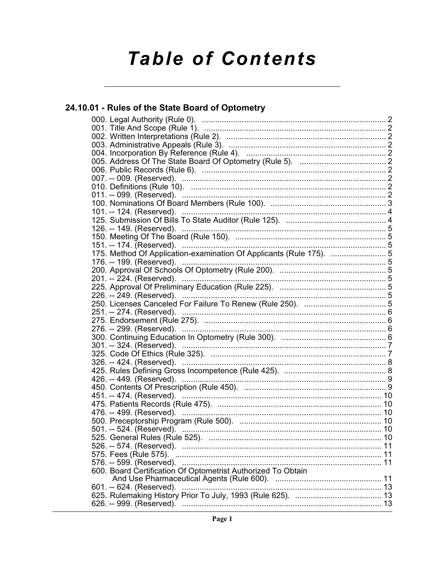# **Table of Contents**

# 24.10.01 - Rules of the State Board of Optometry

| 175. Method Of Application-examination Of Applicants (Rule 175).  5 |  |
|---------------------------------------------------------------------|--|
|                                                                     |  |
|                                                                     |  |
|                                                                     |  |
|                                                                     |  |
|                                                                     |  |
|                                                                     |  |
|                                                                     |  |
|                                                                     |  |
|                                                                     |  |
|                                                                     |  |
|                                                                     |  |
|                                                                     |  |
|                                                                     |  |
|                                                                     |  |
|                                                                     |  |
|                                                                     |  |
|                                                                     |  |
|                                                                     |  |
| 476. -- 499. (Reserved). ………………………………………………………………………… 10            |  |
|                                                                     |  |
|                                                                     |  |
|                                                                     |  |
|                                                                     |  |
|                                                                     |  |
|                                                                     |  |
| 600. Board Certification Of Optometrist Authorized To Obtain        |  |
|                                                                     |  |
| 601. -- 624. (Reserved).                                            |  |
|                                                                     |  |
|                                                                     |  |
|                                                                     |  |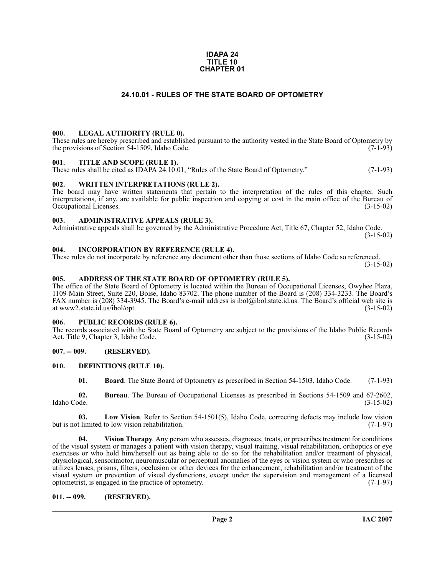#### **IDAPA 24 TITLE 10 CHAPTER 01**

# **24.10.01 - RULES OF THE STATE BOARD OF OPTOMETRY**

#### <span id="page-1-1"></span><span id="page-1-0"></span>**000. LEGAL AUTHORITY (RULE 0).**

These rules are hereby prescribed and established pursuant to the authority vested in the State Board of Optometry by the provisions of Section 54-1509, Idaho Code. (7-1-93) the provisions of Section 54-1509, Idaho Code.

#### <span id="page-1-2"></span>**001. TITLE AND SCOPE (RULE 1).**

These rules shall be cited as IDAPA 24.10.01, "Rules of the State Board of Optometry." (7-1-93)

#### <span id="page-1-3"></span>**002. WRITTEN INTERPRETATIONS (RULE 2).**

The board may have written statements that pertain to the interpretation of the rules of this chapter. Such interpretations, if any, are available for public inspection and copying at cost in the main office of the Bureau of Occupational Licenses.

#### <span id="page-1-4"></span>**003. ADMINISTRATIVE APPEALS (RULE 3).**

Administrative appeals shall be governed by the Administrative Procedure Act, Title 67, Chapter 52, Idaho Code.  $(3-15-02)$ 

#### <span id="page-1-5"></span>**004. INCORPORATION BY REFERENCE (RULE 4).**

These rules do not incorporate by reference any document other than those sections of Idaho Code so referenced. (3-15-02)

### <span id="page-1-6"></span>**005. ADDRESS OF THE STATE BOARD OF OPTOMETRY (RULE 5).**

[The office of the State Board of Optometry is located within the Bureau of Occupational Licenses, Owyhee Plaza,](http://ibol.idaho.gov/opt.htm) 1109 Main Street, Suite 220, Boise, Idaho 83702. The phone number of the Board is (208) 334-3233. The Board's FAX number is (208) 334-3945. The Board's e-mail address is ibol@ibol.state.id.us. The Board's official web site is at www2.state.id.us/ibol/opt.

#### <span id="page-1-7"></span>**006. PUBLIC RECORDS (RULE 6).**

The records associated with the State Board of Optometry are subject to the provisions of the Idaho Public Records<br>Act, Title 9, Chapter 3, Idaho Code. (3-15-02) Act, Title 9, Chapter 3, Idaho Code.

# <span id="page-1-8"></span>**007. -- 009. (RESERVED).**

#### <span id="page-1-9"></span>**010. DEFINITIONS (RULE 10).**

<span id="page-1-13"></span><span id="page-1-12"></span><span id="page-1-11"></span>**01. Board**. The State Board of Optometry as prescribed in Section 54-1503, Idaho Code. (7-1-93)

**02.** Bureau. The Bureau of Occupational Licenses as prescribed in Sections 54-1509 and 67-2602, Idaho Code. (3-15-02) Idaho Code. (3-15-02)

**03.** Low Vision. Refer to Section 54-1501(5), Idaho Code, correcting defects may include low vision thinited to low vision rehabilitation. (7-1-97) but is not limited to low vision rehabilitation.

<span id="page-1-14"></span>**04. Vision Therapy**. Any person who assesses, diagnoses, treats, or prescribes treatment for conditions of the visual system or manages a patient with vision therapy, visual training, visual rehabilitation, orthoptics or eye exercises or who hold him/herself out as being able to do so for the rehabilitation and/or treatment of physical, physiological, sensorimotor, neuromuscular or perceptual anomalies of the eyes or vision system or who prescribes or utilizes lenses, prisms, filters, occlusion or other devices for the enhancement, rehabilitation and/or treatment of the visual system or prevention of visual dysfunctions, except under the supervision and management of a licensed optometrist, is engaged in the practice of optometry. (7-1-97) optometrist, is engaged in the practice of optometry.

#### <span id="page-1-10"></span>**011. -- 099. (RESERVED).**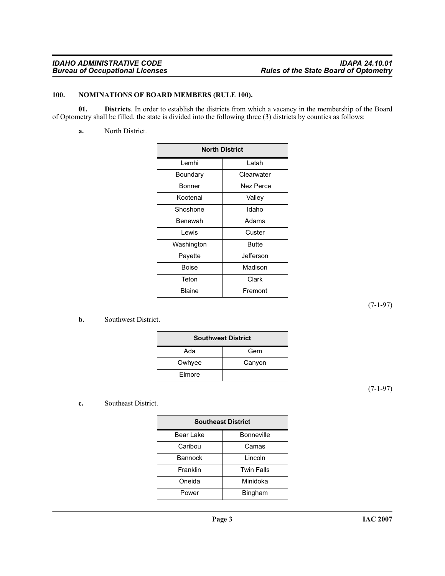# <span id="page-2-2"></span><span id="page-2-0"></span>**100. NOMINATIONS OF BOARD MEMBERS (RULE 100).**

**01. Districts**. In order to establish the districts from which a vacancy in the membership of the Board of Optometry shall be filled, the state is divided into the following three (3) districts by counties as follows:

<span id="page-2-1"></span>**a.** North District.

| <b>North District</b> |            |  |
|-----------------------|------------|--|
| Lemhi                 | Latah      |  |
| Boundary              | Clearwater |  |
| Bonner                | Nez Perce  |  |
| Kootenai<br>Valley    |            |  |
| Idaho<br>Shoshone     |            |  |
| Benewah               | Adams      |  |
| Lewis<br>Custer       |            |  |
| Butte<br>Washington   |            |  |
| Jefferson<br>Payette  |            |  |
| Madison<br>Boise      |            |  |
| Teton                 | Clark      |  |
| Blaine                | Fremont    |  |

(7-1-97)

# **b.** Southwest District.

| <b>Southwest District</b> |        |  |
|---------------------------|--------|--|
| Ada                       | Gem    |  |
| Owhyee                    | Canyon |  |
| Elmore                    |        |  |

(7-1-97)

# **c.** Southeast District.

| <b>Southeast District</b> |                   |  |
|---------------------------|-------------------|--|
| Bear Lake                 | <b>Bonneville</b> |  |
| Caribou<br>Camas          |                   |  |
| <b>Bannock</b>            | Lincoln           |  |
| Franklin                  | <b>Twin Falls</b> |  |
| Minidoka<br>Oneida        |                   |  |
| Power                     | <b>Bingham</b>    |  |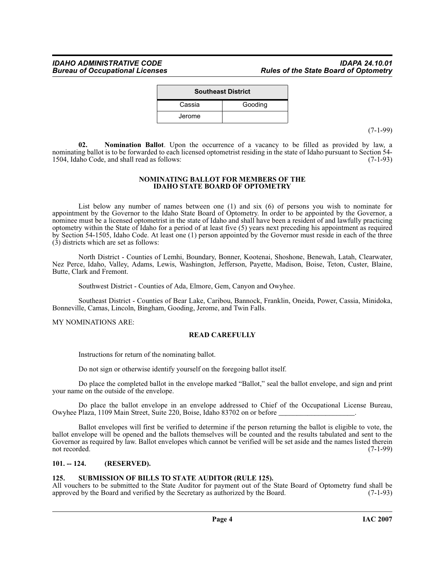| <b>Southeast District</b> |         |  |
|---------------------------|---------|--|
| Cassia                    | Gooding |  |
| Jerome                    |         |  |

(7-1-99)

<span id="page-3-2"></span>**02. Nomination Ballot**. Upon the occurrence of a vacancy to be filled as provided by law, a nominating ballot is to be forwarded to each licensed optometrist residing in the state of Idaho pursuant to Section 54-<br>1504. Idaho Code, and shall read as follows: 1504, Idaho Code, and shall read as follows:

#### **NOMINATING BALLOT FOR MEMBERS OF THE IDAHO STATE BOARD OF OPTOMETRY**

List below any number of names between one (1) and six (6) of persons you wish to nominate for appointment by the Governor to the Idaho State Board of Optometry. In order to be appointed by the Governor, a nominee must be a licensed optometrist in the state of Idaho and shall have been a resident of and lawfully practicing optometry within the State of Idaho for a period of at least five (5) years next preceding his appointment as required by Section 54-1505, Idaho Code. At least one (1) person appointed by the Governor must reside in each of the three (3) districts which are set as follows:

North District - Counties of Lemhi, Boundary, Bonner, Kootenai, Shoshone, Benewah, Latah, Clearwater, Nez Perce, Idaho, Valley, Adams, Lewis, Washington, Jefferson, Payette, Madison, Boise, Teton, Custer, Blaine, Butte, Clark and Fremont.

Southwest District - Counties of Ada, Elmore, Gem, Canyon and Owyhee.

Southeast District - Counties of Bear Lake, Caribou, Bannock, Franklin, Oneida, Power, Cassia, Minidoka, Bonneville, Camas, Lincoln, Bingham, Gooding, Jerome, and Twin Falls.

MY NOMINATIONS ARE:

# **READ CAREFULLY**

Instructions for return of the nominating ballot.

Do not sign or otherwise identify yourself on the foregoing ballot itself.

Do place the completed ballot in the envelope marked "Ballot," seal the ballot envelope, and sign and print your name on the outside of the envelope.

Do place the ballot envelope in an envelope addressed to Chief of the Occupational License Bureau, Owyhee Plaza, 1109 Main Street, Suite 220, Boise, Idaho 83702 on or before \_\_\_\_\_\_\_\_\_\_\_\_\_\_\_\_\_\_\_\_\_.

Ballot envelopes will first be verified to determine if the person returning the ballot is eligible to vote, the ballot envelope will be opened and the ballots themselves will be counted and the results tabulated and sent to the Governor as required by law. Ballot envelopes which cannot be verified will be set aside and the names listed therein not recorded. (7-1-99) not recorded. (7-1-99)

# <span id="page-3-0"></span>**101. -- 124. (RESERVED).**

# <span id="page-3-3"></span><span id="page-3-1"></span>**125. SUBMISSION OF BILLS TO STATE AUDITOR (RULE 125).**

All vouchers to be submitted to the State Auditor for payment out of the State Board of Optometry fund shall be approved by the Board and verified by the Secretary as authorized by the Board. (7-1-93) approved by the Board and verified by the Secretary as authorized by the Board.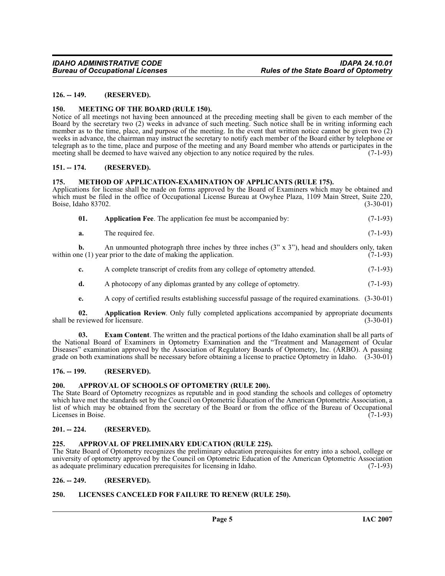# <span id="page-4-0"></span>**126. -- 149. (RESERVED).**

#### <span id="page-4-16"></span><span id="page-4-1"></span>**150. MEETING OF THE BOARD (RULE 150).**

Notice of all meetings not having been announced at the preceding meeting shall be given to each member of the Board by the secretary two (2) weeks in advance of such meeting. Such notice shall be in writing informing each member as to the time, place, and purpose of the meeting. In the event that written notice cannot be given two (2) weeks in advance, the chairman may instruct the secretary to notify each member of the Board either by telephone or telegraph as to the time, place and purpose of the meeting and any Board member who attends or participates in the meeting shall be deemed to have waived any objection to any notice required by the rules. (7-1-93)

#### <span id="page-4-2"></span>**151. -- 174. (RESERVED).**

#### <span id="page-4-17"></span><span id="page-4-3"></span>**175. METHOD OF APPLICATION-EXAMINATION OF APPLICANTS (RULE 175).**

Applications for license shall be made on forms approved by the Board of Examiners which may be obtained and which must be filed in the office of Occupational License Bureau at Owyhee Plaza, 1109 Main Street, Suite 220,<br>Boise, Idaho 83702. (3-30-01) Boise, Idaho 83702.

<span id="page-4-10"></span>

| 01. |  |  | <b>Application Fee.</b> The application fee must be accompanied by: | $(7-1-93)$ |
|-----|--|--|---------------------------------------------------------------------|------------|
|-----|--|--|---------------------------------------------------------------------|------------|

**a.** The required fee. (7-1-93)

**b.** An unmounted photograph three inches by three inches  $(3'' \times 3'')$ , head and shoulders only, taken the (1) year prior to the date of making the application.  $(7-1-93)$ within one  $(1)$  year prior to the date of making the application.

- **c.** A complete transcript of credits from any college of optometry attended.  $(7-1-93)$
- **d.** A photocopy of any diplomas granted by any college of optometry. (7-1-93)
- <span id="page-4-14"></span><span id="page-4-11"></span>**e.** A copy of certified results establishing successful passage of the required examinations. (3-30-01)

**02. Application Review**. Only fully completed applications accompanied by appropriate documents eviewed for licensure. (3-30-01) shall be reviewed for licensure.

**03. Exam Content**. The written and the practical portions of the Idaho examination shall be all parts of the National Board of Examiners in Optometry Examination and the "Treatment and Management of Ocular Diseases" examination approved by the Association of Regulatory Boards of Optometry, Inc. (ARBO). A passing grade on both examinations shall be necessary before obtaining a license to practice Optometry in Idaho. (3-30-01)

## <span id="page-4-4"></span>**176. -- 199. (RESERVED).**

#### <span id="page-4-13"></span><span id="page-4-5"></span>**200. APPROVAL OF SCHOOLS OF OPTOMETRY (RULE 200).**

The State Board of Optometry recognizes as reputable and in good standing the schools and colleges of optometry which have met the standards set by the Council on Optometric Education of the American Optometric Association, a list of which may be obtained from the secretary of the Board or from the office of the Bureau of Occupational<br>Licenses in Boise. (7-1-93) Licenses in Boise.

#### <span id="page-4-6"></span>**201. -- 224. (RESERVED).**

## <span id="page-4-12"></span><span id="page-4-7"></span>**225. APPROVAL OF PRELIMINARY EDUCATION (RULE 225).**

The State Board of Optometry recognizes the preliminary education prerequisites for entry into a school, college or university of optometry approved by the Council on Optometric Education of the American Optometric Association as adequate preliminary education prerequisites for licensing in Idaho. (7-1-93) as adequate preliminary education prerequisites for licensing in Idaho.

# <span id="page-4-8"></span>**226. -- 249. (RESERVED).**

### <span id="page-4-15"></span><span id="page-4-9"></span>**250. LICENSES CANCELED FOR FAILURE TO RENEW (RULE 250).**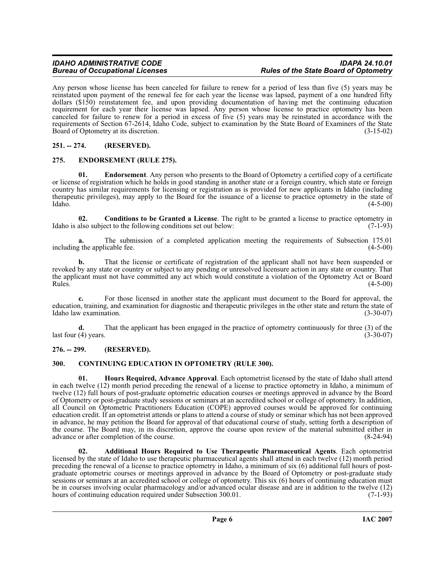Any person whose license has been canceled for failure to renew for a period of less than five (5) years may be reinstated upon payment of the renewal fee for each year the license was lapsed, payment of a one hundred fifty dollars (\$150) reinstatement fee, and upon providing documentation of having met the continuing education requirement for each year their license was lapsed. Any person whose license to practice optometry has been canceled for failure to renew for a period in excess of five (5) years may be reinstated in accordance with the requirements of Section 67-2614, Idaho Code, subject to examination by the State Board of Examiners of the State<br>Board of Optometry at its discretion. (3-15-02) Board of Optometry at its discretion.

# <span id="page-5-0"></span>**251. -- 274. (RESERVED).**

# <span id="page-5-7"></span><span id="page-5-1"></span>**275. ENDORSEMENT (RULE 275).**

**01. Endorsement**. Any person who presents to the Board of Optometry a certified copy of a certificate or license of registration which he holds in good standing in another state or a foreign country, which state or foreign country has similar requirements for licensing or registration as is provided for new applicants in Idaho (including therapeutic privileges), may apply to the Board for the issuance of a license to practice optometry in the state of Idaho. (4-5-00)  $\lambda$ Idaho.  $(4-5-00)$ 

<span id="page-5-5"></span>**02. Conditions to be Granted a License**. The right to be granted a license to practice optometry in also subject to the following conditions set out below: (7-1-93) Idaho is also subject to the following conditions set out below:

**a.** The submission of a completed application meeting the requirements of Subsection 175.01 represents the applicable fee. (4-5-00) including the applicable fee.

**b.** That the license or certificate of registration of the applicant shall not have been suspended or revoked by any state or country or subject to any pending or unresolved licensure action in any state or country. That the applicant must not have committed any act which would constitute a violation of the Optometry Act or Board<br>Rules. (4-5-00)  $\mu$  Rules.  $(4-5-00)$ 

**c.** For those licensed in another state the applicant must document to the Board for approval, the education, training, and examination for diagnostic and therapeutic privileges in the other state and return the state of Idaho law examination. (3-30-07) Idaho law examination.

**d.** That the applicant has been engaged in the practice of optometry continuously for three (3) of the (4) years. (3-30-07) last four  $(4)$  years.

# <span id="page-5-2"></span>**276. -- 299. (RESERVED).**

# <span id="page-5-6"></span><span id="page-5-3"></span>**300. CONTINUING EDUCATION IN OPTOMETRY (RULE 300).**

<span id="page-5-8"></span>**01. Hours Required, Advance Approval**. Each optometrist licensed by the state of Idaho shall attend in each twelve (12) month period preceding the renewal of a license to practice optometry in Idaho, a minimum of twelve (12) full hours of post-graduate optometric education courses or meetings approved in advance by the Board of Optometry or post-graduate study sessions or seminars at an accredited school or college of optometry. In addition, all Council on Optometric Practitioners Education (COPE) approved courses would be approved for continuing education credit. If an optometrist attends or plans to attend a course of study or seminar which has not been approved in advance, he may petition the Board for approval of that educational course of study, setting forth a description of the course. The Board may, in its discretion, approve the course upon review of the material submitted either in advance or after completion of the course. (8-24-94)

<span id="page-5-4"></span>**02. Additional Hours Required to Use Therapeutic Pharmaceutical Agents**. Each optometrist licensed by the state of Idaho to use therapeutic pharmaceutical agents shall attend in each twelve (12) month period preceding the renewal of a license to practice optometry in Idaho, a minimum of six (6) additional full hours of postgraduate optometric courses or meetings approved in advance by the Board of Optometry or post-graduate study sessions or seminars at an accredited school or college of optometry. This six (6) hours of continuing education must be in courses involving ocular pharmacology and/or advanced ocular disease and are in addition to the twelve (12) hours of continuing education required under Subsection 300.01. (7-1-93) hours of continuing education required under Subsection 300.01.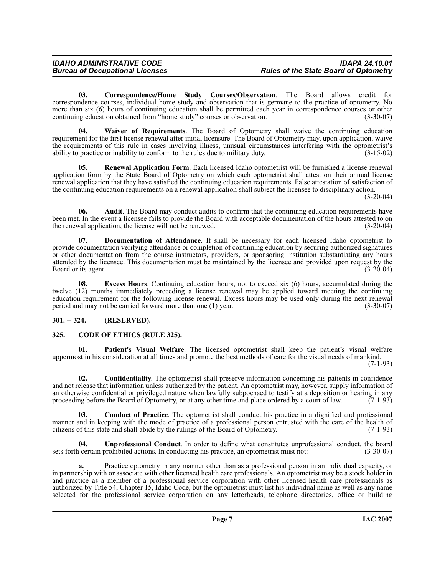<span id="page-6-5"></span>**03. Correspondence/Home Study Courses/Observation**. The Board allows credit for correspondence courses, individual home study and observation that is germane to the practice of optometry. No more than six (6) hours of continuing education shall be permitted each year in correspondence courses or other continuing education obtained from "home study" courses or observation. (3-30-07) continuing education obtained from "home study" courses or observation.

<span id="page-6-10"></span>**04. Waiver of Requirements**. The Board of Optometry shall waive the continuing education requirement for the first license renewal after initial licensure. The Board of Optometry may, upon application, waive the requirements of this rule in cases involving illness, unusual circumstances interfering with the optometrist's ability to practice or inability to conform to the rules due to military duty. (3-15-02)

<span id="page-6-8"></span>**05. Renewal Application Form**. Each licensed Idaho optometrist will be furnished a license renewal application form by the State Board of Optometry on which each optometrist shall attest on their annual license renewal application that they have satisfied the continuing education requirements. False attestation of satisfaction of the continuing education requirements on a renewal application shall subject the licensee to disciplinary action.

(3-20-04)

**06.** Audit. The Board may conduct audits to confirm that the continuing education requirements have been met. In the event a licensee fails to provide the Board with acceptable documentation of the hours attested to on<br>(3-20-04) (3-20-04) the renewal application, the license will not be renewed.

<span id="page-6-6"></span>**07. Documentation of Attendance**. It shall be necessary for each licensed Idaho optometrist to provide documentation verifying attendance or completion of continuing education by securing authorized signatures or other documentation from the course instructors, providers, or sponsoring institution substantiating any hours attended by the licensee. This documentation must be maintained by the licensee and provided upon request by the Board or its agent. (3-20-04) Board or its agent.

**08. Excess Hours**. Continuing education hours, not to exceed six (6) hours, accumulated during the twelve (12) months immediately preceding a license renewal may be applied toward meeting the continuing education requirement for the following license renewal. Excess hours may be used only during the next renewal period and may not be carried forward more than one (1) year. (3-30-07)

# <span id="page-6-0"></span>**301. -- 324. (RESERVED).**

# <span id="page-6-2"></span><span id="page-6-1"></span>**325. CODE OF ETHICS (RULE 325).**

<span id="page-6-7"></span>**Patient's Visual Welfare**. The licensed optometrist shall keep the patient's visual welfare uppermost in his consideration at all times and promote the best methods of care for the visual needs of mankind.

(7-1-93)

<span id="page-6-4"></span>**02. Confidentiality**. The optometrist shall preserve information concerning his patients in confidence and not release that information unless authorized by the patient. An optometrist may, however, supply information of an otherwise confidential or privileged nature when lawfully subpoenaed to testify at a deposition or hearing in any proceeding before the Board of Optometry, or at any other time and place ordered by a court of law. (7-1proceeding before the Board of Optometry, or at any other time and place ordered by a court of law.

<span id="page-6-3"></span>**03. Conduct of Practice**. The optometrist shall conduct his practice in a dignified and professional manner and in keeping with the mode of practice of a professional person entrusted with the care of the health of citizens of this state and shall abide by the rulings of the Board of Optometry. (7-1-93)

<span id="page-6-9"></span>**Unprofessional Conduct**. In order to define what constitutes unprofessional conduct, the board prohibited actions. In conducting his practice, an optometrist must not: (3-30-07) sets forth certain prohibited actions. In conducting his practice, an optometrist must not:

**a.** Practice optometry in any manner other than as a professional person in an individual capacity, or in partnership with or associate with other licensed health care professionals. An optometrist may be a stock holder in and practice as a member of a professional service corporation with other licensed health care professionals as authorized by Title 54, Chapter 15, Idaho Code, but the optometrist must list his individual name as well as any name selected for the professional service corporation on any letterheads, telephone directories, office or building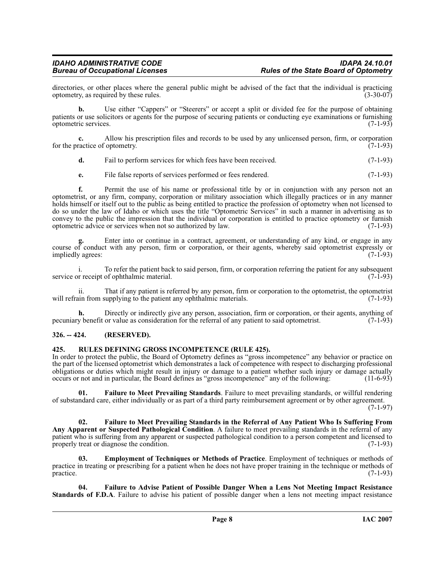# *IDAHO ADMINISTRATIVE CODE IDAPA 24.10.01*

directories, or other places where the general public might be advised of the fact that the individual is practicing optometry, as required by these rules. (3-30-07) optometry, as required by these rules.

**b.** Use either "Cappers" or "Steerers" or accept a split or divided fee for the purpose of obtaining patients or use solicitors or agents for the purpose of securing patients or conducting eye examinations or furnishing optometric services. (7-1-93)

**c.** Allow his prescription files and records to be used by any unlicensed person, firm, or corporation ractice of optometry. (7-1-93) for the practice of optometry.

**d.** Fail to perform services for which fees have been received. (7-1-93)

**e.** File false reports of services performed or fees rendered. (7-1-93)

**f.** Permit the use of his name or professional title by or in conjunction with any person not an optometrist, or any firm, company, corporation or military association which illegally practices or in any manner holds himself or itself out to the public as being entitled to practice the profession of optometry when not licensed to do so under the law of Idaho or which uses the title "Optometric Services" in such a manner in advertising as to convey to the public the impression that the individual or corporation is entitled to practice optometry or furnish optometric advice or services when not so authorized by law. (7-1-93) optometric advice or services when not so authorized by law.

**g.** Enter into or continue in a contract, agreement, or understanding of any kind, or engage in any course of conduct with any person, firm or corporation, or their agents, whereby said optometrist expressly or<br>impliedly agrees: (7-1-93) impliedly agrees:

i. To refer the patient back to said person, firm, or corporation referring the patient for any subsequent or receipt of ophthalmic material. (7-1-93) service or receipt of ophthalmic material.

ii. That if any patient is referred by any person, firm or corporation to the optometrist, the optometrist will refrain from supplying to the patient any ophthalmic materials.

**h.** Directly or indirectly give any person, association, firm or corporation, or their agents, anything of y benefit or value as consideration for the referral of any patient to said optometrist. (7-1-93) pecuniary benefit or value as consideration for the referral of any patient to said optometrist.

# <span id="page-7-0"></span>**326. -- 424. (RESERVED).**

# <span id="page-7-6"></span><span id="page-7-1"></span>**425. RULES DEFINING GROSS INCOMPETENCE (RULE 425).**

In order to protect the public, the Board of Optometry defines as "gross incompetence" any behavior or practice on the part of the licensed optometrist which demonstrates a lack of competence with respect to discharging professional obligations or duties which might result in injury or damage to a patient whether such injury or damage actually<br>occurs or not and in particular, the Board defines as "gross incompetence" any of the following: (11-6-93) occurs or not and in particular, the Board defines as "gross incompetence" any of the following:

<span id="page-7-5"></span>**01. Failure to Meet Prevailing Standards**. Failure to meet prevailing standards, or willful rendering of substandard care, either individually or as part of a third party reimbursement agreement or by other agreement. (7-1-97)

<span id="page-7-4"></span>**02. Failure to Meet Prevailing Standards in the Referral of Any Patient Who Is Suffering From Any Apparent or Suspected Pathological Condition**. A failure to meet prevailing standards in the referral of any patient who is suffering from any apparent or suspected pathological condition to a person competent and licensed to properly treat or diagnose the condition. properly treat or diagnose the condition.

<span id="page-7-2"></span>**03. Employment of Techniques or Methods of Practice**. Employment of techniques or methods of practice in treating or prescribing for a patient when he does not have proper training in the technique or methods of practice. (7-1-93) practice.  $(7-1-93)$ 

<span id="page-7-3"></span>**04. Failure to Advise Patient of Possible Danger When a Lens Not Meeting Impact Resistance Standards of F.D.A**. Failure to advise his patient of possible danger when a lens not meeting impact resistance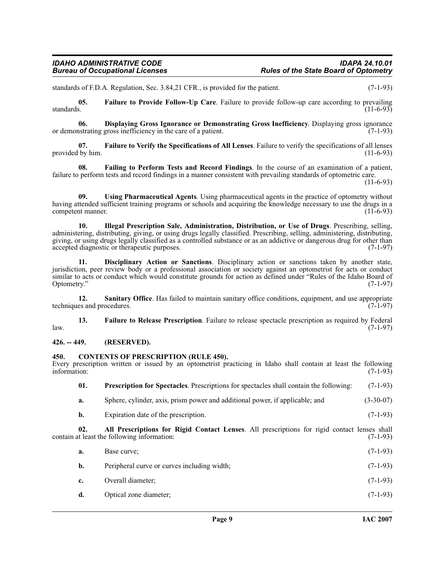standards of F.D.A. Regulation, Sec. 3.84,21 CFR., is provided for the patient. (7-1-93)

<span id="page-8-7"></span>**05.** Failure to Provide Follow-Up Care. Failure to provide follow-up care according to prevailing standards. (11-6-93) standards.  $(11-6-93)$ 

<span id="page-8-5"></span>**06. Displaying Gross Ignorance or Demonstrating Gross Inefficiency**. Displaying gross ignorance instrating gross inefficiency in the care of a patient. (7-1-93) or demonstrating gross inefficiency in the care of a patient.

<span id="page-8-9"></span>**07. Failure to Verify the Specifications of All Lenses**. Failure to verify the specifications of all lenses provided by him. (11-6-93)

<span id="page-8-6"></span>**08. Failing to Perform Tests and Record Findings**. In the course of an examination of a patient, failure to perform tests and record findings in a manner consistent with prevailing standards of optometric care.

 $(11-6-93)$ 

<span id="page-8-13"></span>**09. Using Pharmaceutical Agents**. Using pharmaceutical agents in the practice of optometry without having attended sufficient training programs or schools and acquiring the knowledge necessary to use the drugs in a<br>(11-6-93) competent manner.

<span id="page-8-10"></span>**10. Illegal Prescription Sale, Administration, Distribution, or Use of Drugs**. Prescribing, selling, administering, distributing, giving, or using drugs legally classified. Prescribing, selling, administering, distributing, giving, or using drugs legally classified as a controlled substance or as an addictive or dangerous drug for other than accepted diagnostic or therapeutic purposes. accepted diagnostic or therapeutic purposes.

<span id="page-8-4"></span>**11. Disciplinary Action or Sanctions**. Disciplinary action or sanctions taken by another state, jurisdiction, peer review body or a professional association or society against an optometrist for acts or conduct similar to acts or conduct which would constitute grounds for action as defined under "Rules of the Idaho Board of Optometry." (7-1-97) Optometry." (7-1-97)

<span id="page-8-12"></span>12. **Sanitary Office**. Has failed to maintain sanitary office conditions, equipment, and use appropriate techniques and procedures. (7-1-97)

<span id="page-8-8"></span>**13. Failure to Release Prescription**. Failure to release spectacle prescription as required by Federal law. (7-1-97)

# <span id="page-8-0"></span>**426. -- 449. (RESERVED).**

# <span id="page-8-3"></span><span id="page-8-1"></span>**450. CONTENTS OF PRESCRIPTION (RULE 450).**

Every prescription written or issued by an optometrist practicing in Idaho shall contain at least the following information: (7-1-93) information: (7-1-93)

<span id="page-8-11"></span>

| 01. | <b>Prescription for Spectacles.</b> Prescriptions for spectacles shall contain the following: | $(7-1-93)$  |
|-----|-----------------------------------------------------------------------------------------------|-------------|
| а.  | Sphere, cylinder, axis, prism power and additional power, if applicable; and                  | $(3-30-07)$ |

<span id="page-8-2"></span>**b.** Expiration date of the prescription. (7-1-93)

**02. All Prescriptions for Rigid Contact Lenses**. All prescriptions for rigid contact lenses shall contain at least the following information:

| a.          | Base curve:                                 | $(7-1-93)$ |
|-------------|---------------------------------------------|------------|
| b.          | Peripheral curve or curves including width; | $(7-1-93)$ |
| $c_{\cdot}$ | Overall diameter;                           | $(7-1-93)$ |
| d.          | Optical zone diameter;                      | $(7-1-93)$ |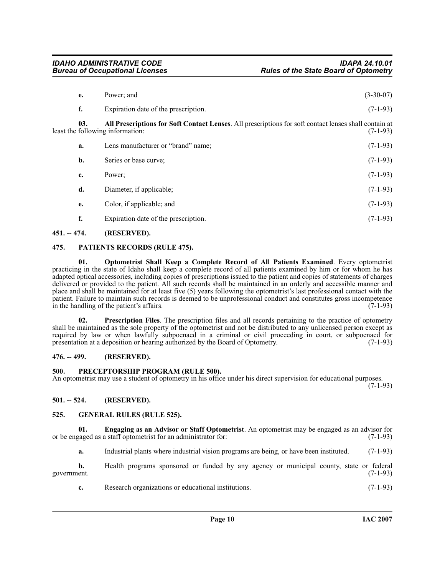<span id="page-9-6"></span>

| e.  | Power; and                                                                                                                                | $(3-30-07)$ |
|-----|-------------------------------------------------------------------------------------------------------------------------------------------|-------------|
| f.  | Expiration date of the prescription.                                                                                                      | $(7-1-93)$  |
| 03. | All Prescriptions for Soft Contact Lenses. All prescriptions for soft contact lenses shall contain at<br>least the following information: | $(7-1-93)$  |
| a.  | Lens manufacturer or "brand" name;                                                                                                        | $(7-1-93)$  |
| b.  | Series or base curve;                                                                                                                     | $(7-1-93)$  |
| c.  | Power:                                                                                                                                    | $(7-1-93)$  |
| d.  | Diameter, if applicable;                                                                                                                  | $(7-1-93)$  |
| e.  | Color, if applicable; and                                                                                                                 | $(7-1-93)$  |
| f.  | Expiration date of the prescription.                                                                                                      | $(7-1-93)$  |

# <span id="page-9-0"></span>**451. -- 474. (RESERVED).**

# <span id="page-9-10"></span><span id="page-9-1"></span>**475. PATIENTS RECORDS (RULE 475).**

<span id="page-9-9"></span>**01. Optometrist Shall Keep a Complete Record of All Patients Examined**. Every optometrist practicing in the state of Idaho shall keep a complete record of all patients examined by him or for whom he has adapted optical accessories, including copies of prescriptions issued to the patient and copies of statements of charges delivered or provided to the patient. All such records shall be maintained in an orderly and accessible manner and place and shall be maintained for at least five (5) years following the optometrist's last professional contact with the patient. Failure to maintain such records is deemed to be unprofessional conduct and constitutes gross incompetence<br>in the handling of the patient's affairs. (7-1-93) in the handling of the patient's affairs.

<span id="page-9-12"></span>**02. Prescription Files**. The prescription files and all records pertaining to the practice of optometry shall be maintained as the sole property of the optometrist and not be distributed to any unlicensed person except as required by law or when lawfully subpoenaed in a criminal or civil proceeding in court, or subpoenaed for presentation at a deposition or hearing authorized by the Board of Optometry. (7-1-93) presentation at a deposition or hearing authorized by the Board of Optometry.

# <span id="page-9-2"></span>**476. -- 499. (RESERVED).**

# <span id="page-9-11"></span><span id="page-9-3"></span>**500. PRECEPTORSHIP PROGRAM (RULE 500).**

An optometrist may use a student of optometry in his office under his direct supervision for educational purposes.

 $(7-1-93)$ 

# <span id="page-9-4"></span>**501. -- 524. (RESERVED).**

# <span id="page-9-8"></span><span id="page-9-5"></span>**525. GENERAL RULES (RULE 525).**

**01. Engaging as an Advisor or Staff Optometrist**. An optometrist may be engaged as an advisor for or be engaged as a staff optometrist for an administrator for: (7-1-93)

<span id="page-9-7"></span>**a.** Industrial plants where industrial vision programs are being, or have been instituted. (7-1-93)

**b.** Health programs sponsored or funded by any agency or municipal county, state or federal government. (7-1-93)

**c.** Research organizations or educational institutions. (7-1-93)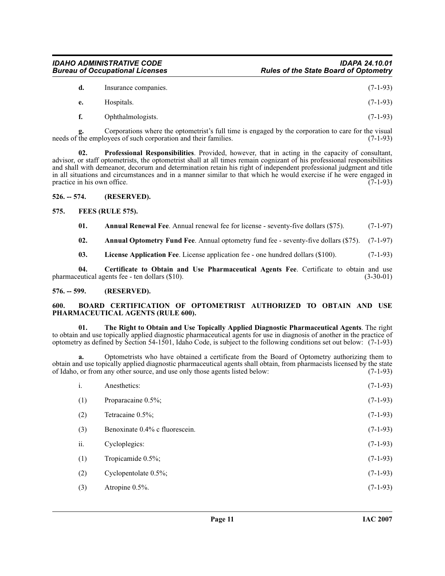| d. | Insurance companies. | $(7-1-93)$ |
|----|----------------------|------------|
| e. | Hospitals.           | $(7-1-93)$ |
| f. | Ophthalmologists.    | $(7-1-93)$ |

Corporations where the optometrist's full time is engaged by the corporation to care for the visual ovees of such corporation and their families. (7-1-93) g. Corporations where the optioneeds of the employees of such corporation and their families.

<span id="page-10-10"></span>**02. Professional Responsibilities**. Provided, however, that in acting in the capacity of consultant, advisor, or staff optometrists, the optometrist shall at all times remain cognizant of his professional responsibilities and shall with demeanor, decorum and determination retain his right of independent professional judgment and title in all situations and circumstances and in a manner similar to that which he would exercise if he were engaged in practice in his own office. (7-1-93) practice in his own office.

# <span id="page-10-0"></span>**526. -- 574. (RESERVED).**

# <span id="page-10-1"></span>**575. FEES (RULE 575).**

<span id="page-10-8"></span><span id="page-10-5"></span>**01.** Annual Renewal Fee. Annual renewal fee for license - seventy-five dollars (\$75). (7-1-97)

<span id="page-10-4"></span>**02. Annual Optometry Fund Fee**. Annual optometry fund fee - seventy-five dollars (\$75). (7-1-97)

<span id="page-10-9"></span><span id="page-10-7"></span>**03. License Application Fee**. License application fee - one hundred dollars (\$100). (7-1-93)

**04.** Certificate to Obtain and Use Pharmaceutical Agents Fee. Certificate to obtain and use eutical agents fee - ten dollars (\$10). (3-30-01) pharmaceutical agents fee - ten dollars  $(\$10)$ .

# <span id="page-10-2"></span>**576. -- 599. (RESERVED).**

# <span id="page-10-6"></span><span id="page-10-3"></span>**600. BOARD CERTIFICATION OF OPTOMETRIST AUTHORIZED TO OBTAIN AND USE PHARMACEUTICAL AGENTS (RULE 600).**

<span id="page-10-11"></span>**01. The Right to Obtain and Use Topically Applied Diagnostic Pharmaceutical Agents**. The right to obtain and use topically applied diagnostic pharmaceutical agents for use in diagnosis of another in the practice of optometry as defined by Section 54-1501, Idaho Code, is subject to the following conditions set out below: (7-1-93)

**a.** Optometrists who have obtained a certificate from the Board of Optometry authorizing them to obtain and use topically applied diagnostic pharmaceutical agents shall obtain, from pharmacists licensed by the state of Idaho, or from any other source, and use only those agents listed below: (7-1-93) of Idaho, or from any other source, and use only those agents listed below:

| i.  | Anesthetics:                   | $(7-1-93)$ |
|-----|--------------------------------|------------|
| (1) | Proparacaine 0.5%;             | $(7-1-93)$ |
| (2) | Tetracaine 0.5%;               | $(7-1-93)$ |
| (3) | Benoxinate 0.4% c fluorescein. | $(7-1-93)$ |
| ii. | Cycloplegics:                  | $(7-1-93)$ |
| (1) | Tropicamide 0.5%;              | $(7-1-93)$ |
| (2) | Cyclopentolate $0.5\%$ ;       | $(7-1-93)$ |
| (3) | Atropine 0.5%.                 | $(7-1-93)$ |
|     |                                |            |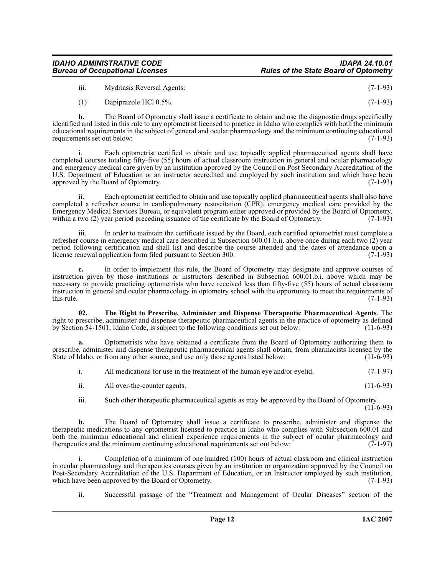# *IDAHO ADMINISTRATIVE CODE IDAPA 24.10.01* **Rules of the State Board of Optometry**

iii. Mydriasis Reversal Agents: (7-1-93)

(1) Dapiprazole HCl 0.5%. (7-1-93)

**b.** The Board of Optometry shall issue a certificate to obtain and use the diagnostic drugs specifically identified and listed in this rule to any optometrist licensed to practice in Idaho who complies with both the minimum educational requirements in the subject of general and ocular pharmacology and the minimum continuing educational<br>requirements set out below: requirements set out below:

Each optometrist certified to obtain and use topically applied pharmaceutical agents shall have completed courses totaling fifty-five (55) hours of actual classroom instruction in general and ocular pharmacology and emergency medical care given by an institution approved by the Council on Post Secondary Accreditation of the U.S. Department of Education or an instructor accredited and employed by such institution and which have been<br>approved by the Board of Optometry. (7-1-93) approved by the Board of Optometry.

ii. Each optometrist certified to obtain and use topically applied pharmaceutical agents shall also have completed a refresher course in cardiopulmonary resuscitation (CPR), emergency medical care provided by the Emergency Medical Services Bureau, or equivalent program either approved or provided by the Board of Optometry, within a two (2) year period preceding issuance of the certificate by the Board of Optometry. (7-1-93)

iii. In order to maintain the certificate issued by the Board, each certified optometrist must complete a refresher course in emergency medical care described in Subsection 600.01.b.ii. above once during each two (2) year period following certification and shall list and describe the course attended and the dates of attendance upon a license renewal application form filed pursuant to Section 300. (7-1-93) license renewal application form filed pursuant to Section 300.

**c.** In order to implement this rule, the Board of Optometry may designate and approve courses of instruction given by those institutions or instructors described in Subsection 600.01.b.i. above which may be necessary to provide practicing optometrists who have received less than fifty-five (55) hours of actual classroom instruction in general and ocular pharmacology in optometry school with the opportunity to meet the requirements of this rule. (7-1-93) this rule.  $(7-1-93)$ 

<span id="page-11-0"></span>**02. The Right to Prescribe, Administer and Dispense Therapeutic Pharmaceutical Agents**. The right to prescribe, administer and dispense therapeutic pharmaceutical agents in the practice of optometry as defined by Section 54-1501, Idaho Code, is subject to the following conditions set out below: (11-6-93)

**a.** Optometrists who have obtained a certificate from the Board of Optometry authorizing them to prescribe, administer and dispense therapeutic pharmaceutical agents shall obtain, from pharmacists licensed by the State of Idaho, or from any other source, and use only those agents listed below: (11-6-93)

|  | All medications for use in the treatment of the human eye and/or eyelid. | $(7-1-97)$ |
|--|--------------------------------------------------------------------------|------------|
|--|--------------------------------------------------------------------------|------------|

ii. All over-the-counter agents. (11-6-93)

iii. Such other therapeutic pharmaceutical agents as may be approved by the Board of Optometry.  $(11-6-93)$ 

**b.** The Board of Optometry shall issue a certificate to prescribe, administer and dispense the therapeutic medications to any optometrist licensed to practice in Idaho who complies with Subsection 600.01 and both the minimum educational and clinical experience requirements in the subject of ocular pharmacology and therapeutics and the minimum continuing educational requirements set out below: (7-1-97) therapeutics and the minimum continuing educational requirements set out below:

Completion of a minimum of one hundred (100) hours of actual classroom and clinical instruction in ocular pharmacology and therapeutics courses given by an institution or organization approved by the Council on Post-Secondary Accreditation of the U.S. Department of Education, or an Instructor employed by such institution, which have been approved by the Board of Optometry. (7-1-93) which have been approved by the Board of Optometry.

ii. Successful passage of the "Treatment and Management of Ocular Diseases" section of the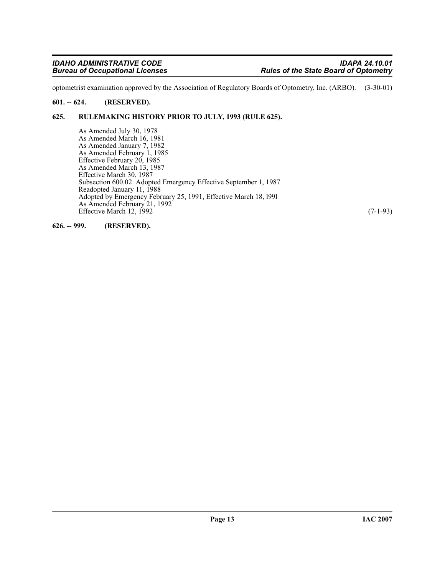optometrist examination approved by the Association of Regulatory Boards of Optometry, Inc. (ARBO). (3-30-01)

# <span id="page-12-0"></span>**601. -- 624. (RESERVED).**

# <span id="page-12-1"></span>**625. RULEMAKING HISTORY PRIOR TO JULY, 1993 (RULE 625).**

As Amended July 30, 1978 As Amended March 16, 1981 As Amended January 7, 1982 As Amended February 1, 1985 Effective February 20, 1985 As Amended March 13, 1987 Effective March 30, 1987 Subsection 600.02. Adopted Emergency Effective September 1, 1987 Readopted January 11, 1988 Adopted by Emergency February 25, 1991, Effective March 18, l99l As Amended February 21, 1992 Effective March 12, 1992 (7-1-93)

<span id="page-12-2"></span>**626. -- 999. (RESERVED).**